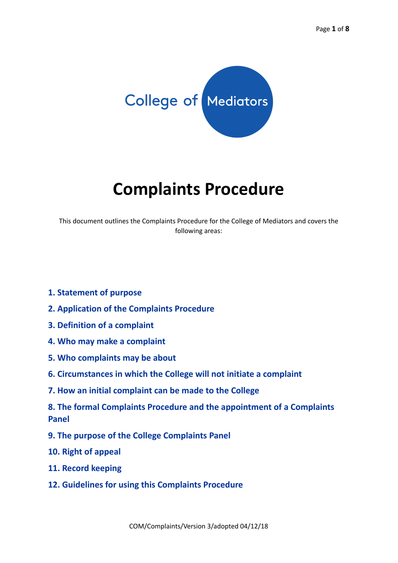

# **Complaints Procedure**

This document outlines the Complaints Procedure for the College of Mediators and covers the following areas:

- **1. Statement of purpose**
- **2. Application of the Complaints Procedure**
- **3. Definition of a complaint**
- **4. Who may make a complaint**
- **5. Who complaints may be about**
- **6. Circumstances in which the College will not initiate a complaint**
- **7. How an initial complaint can be made to the College**
- **8. The formal Complaints Procedure and the appointment of a Complaints Panel**
- **9. The purpose of the College Complaints Panel**
- **10. Right of appeal**
- **11. Record keeping**
- **12. Guidelines for using this Complaints Procedure**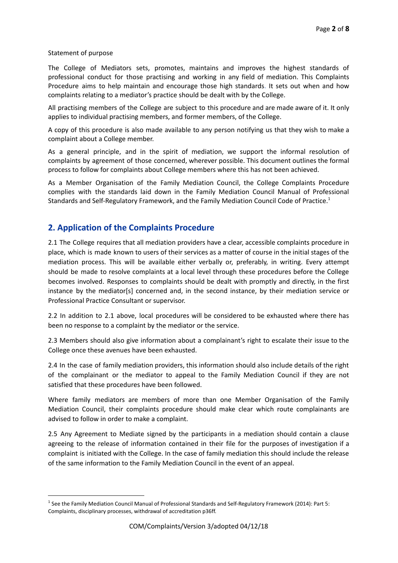#### Statement of purpose

The College of Mediators sets, promotes, maintains and improves the highest standards of professional conduct for those practising and working in any field of mediation. This Complaints Procedure aims to help maintain and encourage those high standards. It sets out when and how complaints relating to a mediator's practice should be dealt with by the College.

All practising members of the College are subject to this procedure and are made aware of it. It only applies to individual practising members, and former members, of the College.

A copy of this procedure is also made available to any person notifying us that they wish to make a complaint about a College member.

As a general principle, and in the spirit of mediation, we support the informal resolution of complaints by agreement of those concerned, wherever possible. This document outlines the formal process to follow for complaints about College members where this has not been achieved.

As a Member Organisation of the Family Mediation Council, the College Complaints Procedure complies with the standards laid down in the Family Mediation Council Manual of Professional Standards and Self-Regulatory Framework, and the Family Mediation Council Code of Practice.<sup>1</sup>

# **2. Application of the Complaints Procedure**

2.1 The College requires that all mediation providers have a clear, accessible complaints procedure in place, which is made known to users of their services as a matter of course in the initial stages of the mediation process. This will be available either verbally or, preferably, in writing. Every attempt should be made to resolve complaints at a local level through these procedures before the College becomes involved. Responses to complaints should be dealt with promptly and directly, in the first instance by the mediator[s] concerned and, in the second instance, by their mediation service or Professional Practice Consultant or supervisor.

2.2 In addition to 2.1 above, local procedures will be considered to be exhausted where there has been no response to a complaint by the mediator or the service.

2.3 Members should also give information about a complainant's right to escalate their issue to the College once these avenues have been exhausted.

2.4 In the case of family mediation providers, this information should also include details of the right of the complainant or the mediator to appeal to the Family Mediation Council if they are not satisfied that these procedures have been followed.

Where family mediators are members of more than one Member Organisation of the Family Mediation Council, their complaints procedure should make clear which route complainants are advised to follow in order to make a complaint.

2.5 Any Agreement to Mediate signed by the participants in a mediation should contain a clause agreeing to the release of information contained in their file for the purposes of investigation if a complaint is initiated with the College. In the case of family mediation this should include the release of the same information to the Family Mediation Council in the event of an appeal.

 $1$  See the Family Mediation Council Manual of Professional Standards and Self-Regulatory Framework (2014): Part 5: Complaints, disciplinary processes, withdrawal of accreditation p36ff.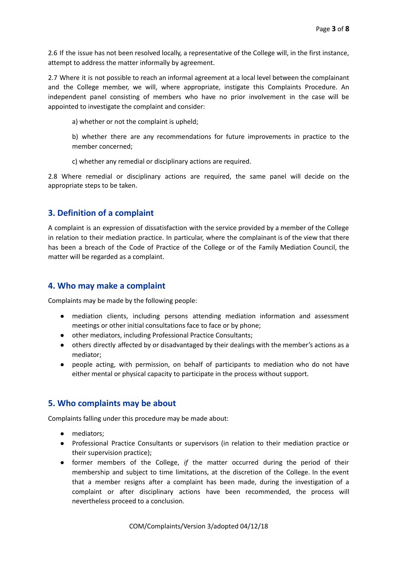2.6 If the issue has not been resolved locally, a representative of the College will, in the first instance, attempt to address the matter informally by agreement.

2.7 Where it is not possible to reach an informal agreement at a local level between the complainant and the College member, we will, where appropriate, instigate this Complaints Procedure. An independent panel consisting of members who have no prior involvement in the case will be appointed to investigate the complaint and consider:

a) whether or not the complaint is upheld;

b) whether there are any recommendations for future improvements in practice to the member concerned;

c) whether any remedial or disciplinary actions are required.

2.8 Where remedial or disciplinary actions are required, the same panel will decide on the appropriate steps to be taken.

#### **3. Definition of a complaint**

A complaint is an expression of dissatisfaction with the service provided by a member of the College in relation to their mediation practice. In particular, where the complainant is of the view that there has been a breach of the Code of Practice of the College or of the Family Mediation Council, the matter will be regarded as a complaint.

#### **4. Who may make a complaint**

Complaints may be made by the following people:

- mediation clients, including persons attending mediation information and assessment meetings or other initial consultations face to face or by phone;
- other mediators, including Professional Practice Consultants;
- others directly affected by or disadvantaged by their dealings with the member's actions as a mediator;
- people acting, with permission, on behalf of participants to mediation who do not have either mental or physical capacity to participate in the process without support.

## **5. Who complaints may be about**

Complaints falling under this procedure may be made about:

- mediators;
- Professional Practice Consultants or supervisors (in relation to their mediation practice or their supervision practice);
- former members of the College, *if* the matter occurred during the period of their membership and subject to time limitations, at the discretion of the College. In the event that a member resigns after a complaint has been made, during the investigation of a complaint or after disciplinary actions have been recommended, the process will nevertheless proceed to a conclusion.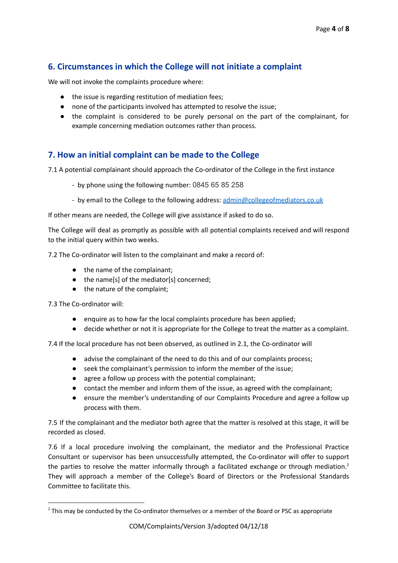# **6. Circumstances in which the College will not initiate a complaint**

We will not invoke the complaints procedure where:

- the issue is regarding restitution of mediation fees;
- none of the participants involved has attempted to resolve the issue;
- the complaint is considered to be purely personal on the part of the complainant, for example concerning mediation outcomes rather than process.

# **7. How an initial complaint can be made to the College**

7.1 A potential complainant should approach the Co-ordinator of the College in the first instance

- by phone using the following number: 0845 65 85 258
- by email to the College to the following address: [admin@collegeofmediators.co.uk](mailto:admin@collegeofmediators.co.uk)

If other means are needed, the College will give assistance if asked to do so.

The College will deal as promptly as possible with all potential complaints received and will respond to the initial query within two weeks.

7.2 The Co-ordinator will listen to the complainant and make a record of:

- the name of the complainant;
- the name[s] of the mediator[s] concerned;
- the nature of the complaint;

7.3 The Co-ordinator will:

- enquire as to how far the local complaints procedure has been applied;
- decide whether or not it is appropriate for the College to treat the matter as a complaint.

7.4 If the local procedure has not been observed, as outlined in 2.1, the Co-ordinator will

- advise the complainant of the need to do this and of our complaints process;
- seek the complainant's permission to inform the member of the issue;
- agree a follow up process with the potential complainant;
- contact the member and inform them of the issue, as agreed with the complainant;
- ensure the member's understanding of our Complaints Procedure and agree a follow up process with them.

7.5 If the complainant and the mediator both agree that the matter is resolved at this stage, it will be recorded as closed.

7.6 If a local procedure involving the complainant, the mediator and the Professional Practice Consultant or supervisor has been unsuccessfully attempted, the Co-ordinator will offer to support the parties to resolve the matter informally through a facilitated exchange or through mediation.<sup>2</sup> They will approach a member of the College's Board of Directors or the Professional Standards Committee to facilitate this.

 $2$  This may be conducted by the Co-ordinator themselves or a member of the Board or PSC as appropriate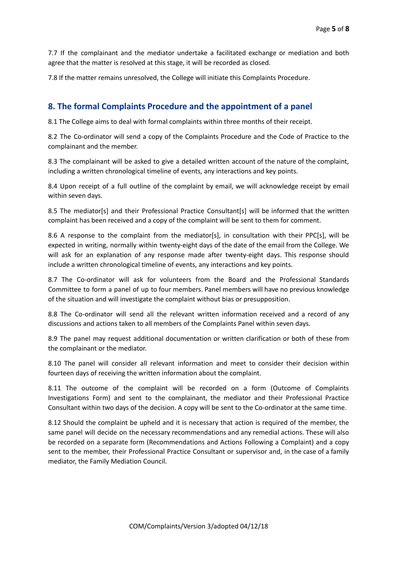7.7 If the complainant and the mediator undertake a facilitated exchange or mediation and both agree that the matter is resolved at this stage, it will be recorded as closed.

7.8 If the matter remains unresolved, the College will initiate this Complaints Procedure.

# **8. The formal Complaints Procedure and the appointment of a panel**

8.1 The College aims to deal with formal complaints within three months of their receipt.

8.2 The Co-ordinator will send a copy of the Complaints Procedure and the Code of Practice to the complainant and the member.

8.3 The complainant will be asked to give a detailed written account of the nature of the complaint, including a written chronological timeline of events, any interactions and key points.

8.4 Upon receipt of a full outline of the complaint by email, we will acknowledge receipt by email within seven days.

8.5 The mediator[s] and their Professional Practice Consultant[s] will be informed that the written complaint has been received and a copy of the complaint will be sent to them for comment.

8.6 A response to the complaint from the mediator[s], in consultation with their PPC[s], will be expected in writing, normally within twenty-eight days of the date of the email from the College. We will ask for an explanation of any response made after twenty-eight days. This response should include a written chronological timeline of events, any interactions and key points.

8.7 The Co-ordinator will ask for volunteers from the Board and the Professional Standards Committee to form a panel of up to four members. Panel members will have no previous knowledge of the situation and will investigate the complaint without bias or presupposition.

8.8 The Co-ordinator will send all the relevant written information received and a record of any discussions and actions taken to all members of the Complaints Panel within seven days.

8.9 The panel may request additional documentation or written clarification or both of these from the complainant or the mediator.

8.10 The panel will consider all relevant information and meet to consider their decision within fourteen days of receiving the written information about the complaint.

8.11 The outcome of the complaint will be recorded on a form (Outcome of Complaints Investigations Form) and sent to the complainant, the mediator and their Professional Practice Consultant within two days of the decision. A copy will be sent to the Co-ordinator at the same time.

8.12 Should the complaint be upheld and it is necessary that action is required of the member, the same panel will decide on the necessary recommendations and any remedial actions. These will also be recorded on a separate form (Recommendations and Actions Following a Complaint) and a copy sent to the member, their Professional Practice Consultant or supervisor and, in the case of a family mediator, the Family Mediation Council.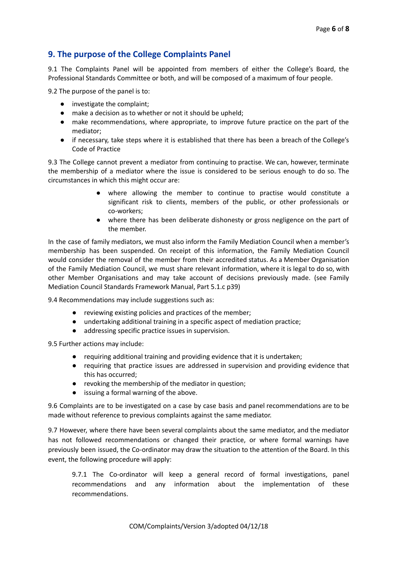# **9. The purpose of the College Complaints Panel**

9.1 The Complaints Panel will be appointed from members of either the College's Board, the Professional Standards Committee or both, and will be composed of a maximum of four people.

9.2 The purpose of the panel is to:

- investigate the complaint;
- make a decision as to whether or not it should be upheld;
- make recommendations, where appropriate, to improve future practice on the part of the mediator;
- if necessary, take steps where it is established that there has been a breach of the College's Code of Practice

9.3 The College cannot prevent a mediator from continuing to practise. We can, however, terminate the membership of a mediator where the issue is considered to be serious enough to do so. The circumstances in which this might occur are:

- where allowing the member to continue to practise would constitute a significant risk to clients, members of the public, or other professionals or co-workers;
- where there has been deliberate dishonesty or gross negligence on the part of the member.

In the case of family mediators, we must also inform the Family Mediation Council when a member's membership has been suspended. On receipt of this information, the Family Mediation Council would consider the removal of the member from their accredited status. As a Member Organisation of the Family Mediation Council, we must share relevant information, where it is legal to do so, with other Member Organisations and may take account of decisions previously made. (see Family Mediation Council Standards Framework Manual, Part 5.1.c p39)

9.4 Recommendations may include suggestions such as:

- reviewing existing policies and practices of the member;
- undertaking additional training in a specific aspect of mediation practice;
- addressing specific practice issues in supervision.

9.5 Further actions may include:

- requiring additional training and providing evidence that it is undertaken;
- requiring that practice issues are addressed in supervision and providing evidence that this has occurred;
- revoking the membership of the mediator in question;
- issuing a formal warning of the above.

9.6 Complaints are to be investigated on a case by case basis and panel recommendations are to be made without reference to previous complaints against the same mediator.

9.7 However, where there have been several complaints about the same mediator, and the mediator has not followed recommendations or changed their practice, or where formal warnings have previously been issued, the Co-ordinator may draw the situation to the attention of the Board. In this event, the following procedure will apply:

9.7.1 The Co-ordinator will keep a general record of formal investigations, panel recommendations and any information about the implementation of these recommendations.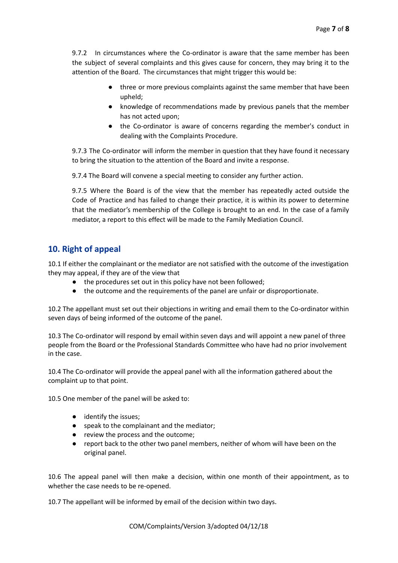9.7.2 In circumstances where the Co-ordinator is aware that the same member has been the subject of several complaints and this gives cause for concern, they may bring it to the attention of the Board. The circumstances that might trigger this would be:

- three or more previous complaints against the same member that have been upheld;
- knowledge of recommendations made by previous panels that the member has not acted upon;
- the Co-ordinator is aware of concerns regarding the member's conduct in dealing with the Complaints Procedure.

9.7.3 The Co-ordinator will inform the member in question that they have found it necessary to bring the situation to the attention of the Board and invite a response.

9.7.4 The Board will convene a special meeting to consider any further action.

9.7.5 Where the Board is of the view that the member has repeatedly acted outside the Code of Practice and has failed to change their practice, it is within its power to determine that the mediator's membership of the College is brought to an end. In the case of a family mediator, a report to this effect will be made to the Family Mediation Council.

#### **10. Right of appeal**

10.1 If either the complainant or the mediator are not satisfied with the outcome of the investigation they may appeal, if they are of the view that

- the procedures set out in this policy have not been followed;
- the outcome and the requirements of the panel are unfair or disproportionate.

10.2 The appellant must set out their objections in writing and email them to the Co-ordinator within seven days of being informed of the outcome of the panel.

10.3 The Co-ordinator will respond by email within seven days and will appoint a new panel of three people from the Board or the Professional Standards Committee who have had no prior involvement in the case.

10.4 The Co-ordinator will provide the appeal panel with all the information gathered about the complaint up to that point.

10.5 One member of the panel will be asked to:

- identify the issues;
- speak to the complainant and the mediator;
- review the process and the outcome;
- report back to the other two panel members, neither of whom will have been on the original panel.

10.6 The appeal panel will then make a decision, within one month of their appointment, as to whether the case needs to be re-opened.

10.7 The appellant will be informed by email of the decision within two days.